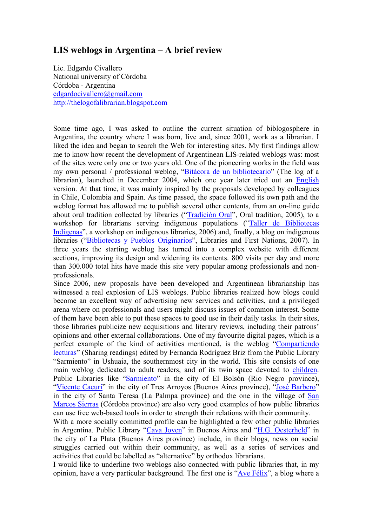## **LIS weblogs in Argentina – A brief review**

Lic. Edgardo Civallero National university of Córdoba Córdoba - Argentina edgardocivallero@gmail.com http://thelogofalibrarian.blogspot.com

Some time ago, I was asked to outline the current situation of biblogosphere in Argentina, the country where I was born, live and, since 2001, work as a librarian. I liked the idea and began to search the Web for interesting sites. My first findings allow me to know how recent the development of Argentinean LIS-related weblogs was: most of the sites were only one or two years old. One of the pioneering works in the field was my own personal / professional weblog, "Bitácora de un bibliotecario" (The log of a librarian), launched in December 2004, which one year later tried out an English version. At that time, it was mainly inspired by the proposals developed by colleagues in Chile, Colombia and Spain. As time passed, the space followed its own path and the weblog format has allowed me to publish several other contents, from an on-line guide about oral tradition collected by libraries ("Tradición Oral", Oral tradition, 2005), to a workshop for librarians serving indigenous populations ("Taller de Bibliotecas Indígenas", a workshop on indigenous libraries, 2006) and, finally, a blog on indigenous libraries ("Bibliotecas y Pueblos Originarios", Libraries and First Nations, 2007). In three years the starting weblog has turned into a complex website with different sections, improving its design and widening its contents. 800 visits per day and more than 300.000 total hits have made this site very popular among professionals and nonprofessionals.

Since 2006, new proposals have been developed and Argentinean librarianship has witnessed a real explosion of LIS weblogs. Public libraries realized how blogs could become an excellent way of advertising new services and activities, and a privileged arena where on professionals and users might discuss issues of common interest. Some of them have been able to put these spaces to good use in their daily tasks. In their sites, those libraries publicize new acquisitions and literary reviews, including their patrons' opinions and other external collaborations. One of my favourite digital pages, which is a perfect example of the kind of activities mentioned, is the weblog "Compartiendo lecturas" (Sharing readings) edited by Fernanda Rodríguez Briz from the Public Library "Sarmiento" in Ushuaia, the southernmost city in the world. This site consists of one main weblog dedicated to adult readers, and of its twin space devoted to children. Public Libraries like "Sarmiento" in the city of El Bolsón (Rio Negro province), "Vicente Cacuri" in the city of Tres Arroyos (Buenos Aires province), "José Barbero" in the city of Santa Teresa (La Palmpa province) and the one in the village of San Marcos Sierras (Córdoba province) are also very good examples of how public libraries can use free web-based tools in order to strength their relations with their community.

With a more socially committed profile can be highlighted a few other public libraries in Argentina. Public Library "Cava Joven" in Buenos Aires and "H.G. Oesterheld" in the city of La Plata (Buenos Aires province) include, in their blogs, news on social struggles carried out within their community, as well as a series of services and activities that could be labelled as "alternative" by orthodox librarians.

I would like to underline two weblogs also connected with public libraries that, in my opinion, have a very particular background. The first one is "Ave Félix", a blog where a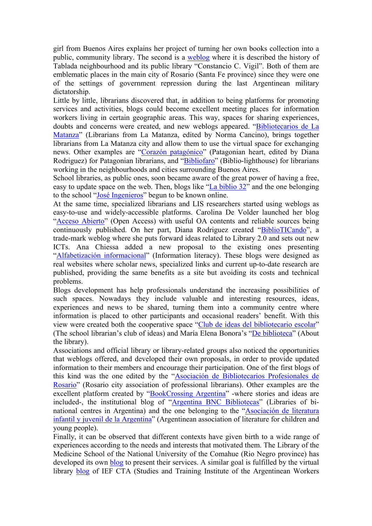girl from Buenos Aires explains her project of turning her own books collection into a public, community library. The second is a weblog where it is described the history of Tablada neighbourhood and its public library "Constancio C. Vigil". Both of them are emblematic places in the main city of Rosario (Santa Fe province) since they were one of the settings of government repression during the last Argentinean military dictatorship.

Little by little, librarians discovered that, in addition to being platforms for promoting services and activities, blogs could become excellent meeting places for information workers living in certain geographic areas. This way, spaces for sharing experiences, doubts and concerns were created, and new weblogs appeared. "Bibliotecarios de La Matanza" (Librarians from La Matanza, edited by Norma Cancino), brings together librarians from La Matanza city and allow them to use the virtual space for exchanging news. Other examples are "Corazón patagónico" (Patagonian heart, edited by Diana Rodriguez) for Patagonian librarians, and "Bibliofaro" (Biblio-lighthouse) for librarians working in the neighbourhoods and cities surrounding Buenos Aires.

School libraries, as public ones, soon became aware of the great power of having a free, easy to update space on the web. Then, blogs like "La biblio 32" and the one belonging to the school "José Ingenieros" begun to be known online.

At the same time, specialized librarians and LIS researchers started using weblogs as easy-to-use and widely-accessible platforms. Carolina De Volder launched her blog "Acceso Abierto" (Open Access) with useful OA contents and reliable sources being continuously published. On her part, Diana Rodriguez created "BiblioTICando", a trade-mark weblog where she puts forward ideas related to Library 2.0 and sets out new ICTs. Ana Chiessa added a new proposal to the existing ones presenting "Alfabetización informacional" (Information literacy). These blogs were designed as real websites where scholar news, specialized links and current up-to-date research are published, providing the same benefits as a site but avoiding its costs and technical problems.

Blogs development has help professionals understand the increasing possibilities of such spaces. Nowadays they include valuable and interesting resources, ideas, experiences and news to be shared, turning them into a community centre where information is placed to other participants and occasional readers' benefit. With this view were created both the cooperative space "Club de ideas del bibliotecario escolar" (The school librarian's club of ideas) and María Elena Bonora's "De biblioteca" (About the library).

Associations and official library or library-related groups also noticed the opportunities that weblogs offered, and developed their own proposals, in order to provide updated information to their members and encourage their participation. One of the first blogs of this kind was the one edited by the "Asociación de Bibliotecarios Profesionales de Rosario" (Rosario city association of professional librarians). Other examples are the excellent platform created by "BookCrossing Argentina" -where stories and ideas are included-, the institutional blog of "Argentina BNC Bibliotecas" (Libraries of binational centres in Argentina) and the one belonging to the "Asociación de literatura infantil y juvenil de la Argentina" (Argentinean association of literature for children and young people).

Finally, it can be observed that different contexts have given birth to a wide range of experiences according to the needs and interests that motivated them. The Library of the Medicine School of the National University of the Comahue (Rio Negro province) has developed its own blog to present their services. A similar goal is fulfilled by the virtual library blog of IEF CTA (Studies and Training Institute of the Argentinean Workers